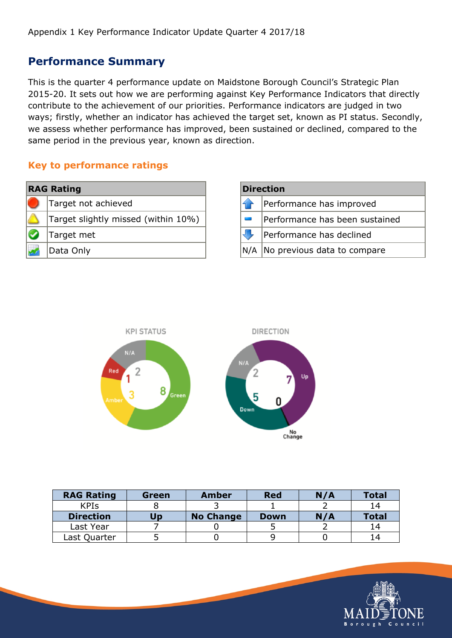### **Performance Summary**

This is the quarter 4 performance update on Maidstone Borough Council's Strategic Plan 2015-20. It sets out how we are performing against Key Performance Indicators that directly contribute to the achievement of our priorities. Performance indicators are judged in two ways; firstly, whether an indicator has achieved the target set, known as PI status. Secondly, we assess whether performance has improved, been sustained or declined, compared to the same period in the previous year, known as direction.

#### **Key to performance ratings**

| <b>RAG Rating</b> |                                     |  |  |  |  |
|-------------------|-------------------------------------|--|--|--|--|
|                   | Target not achieved                 |  |  |  |  |
|                   | Target slightly missed (within 10%) |  |  |  |  |
|                   | Target met                          |  |  |  |  |
|                   | Data Only                           |  |  |  |  |

| <b>Direction</b> |                                |  |  |  |
|------------------|--------------------------------|--|--|--|
|                  | Performance has improved       |  |  |  |
|                  | Performance has been sustained |  |  |  |
|                  | Performance has declined       |  |  |  |
| N/A              | No previous data to compare    |  |  |  |



| <b>RAG Rating</b> | Green | <b>Amber</b>     | <b>Red</b>  | N/A | <b>Total</b> |
|-------------------|-------|------------------|-------------|-----|--------------|
| <b>KPIs</b>       |       |                  |             |     | 14           |
| <b>Direction</b>  | Up    | <b>No Change</b> | <b>Down</b> | N/A | <b>Total</b> |
| Last Year         |       |                  |             |     | 14           |
| Last Quarter      |       |                  |             |     | l 4          |

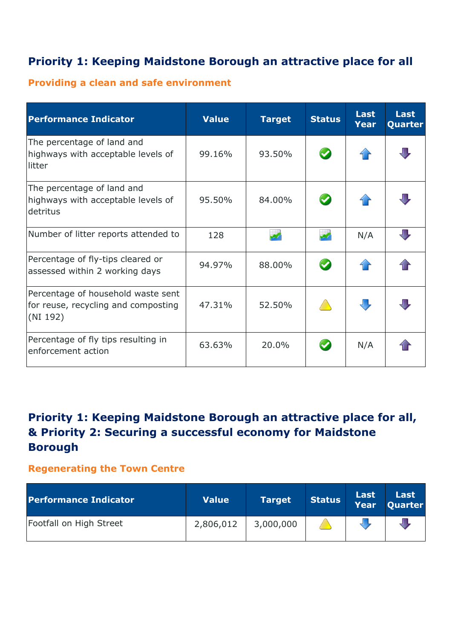# **Priority 1: Keeping Maidstone Borough an attractive place for all**

## **Providing a clean and safe environment**

| <b>Performance Indicator</b>                                                          | <b>Value</b> | <b>Target</b> | <b>Status</b> | <b>Last</b><br><b>Year</b> | <b>Last</b><br>Quarter |
|---------------------------------------------------------------------------------------|--------------|---------------|---------------|----------------------------|------------------------|
| The percentage of land and<br>highways with acceptable levels of<br>litter            | 99.16%       | 93.50%        | $\sim$        |                            |                        |
| The percentage of land and<br>highways with acceptable levels of<br>detritus          | 95.50%       | 84.00%        | $\bullet$     |                            |                        |
| Number of litter reports attended to                                                  | 128          |               | $\mathbf{v}$  | N/A                        |                        |
| Percentage of fly-tips cleared or<br>assessed within 2 working days                   | 94.97%       | 88.00%        | $\bullet$     |                            |                        |
| Percentage of household waste sent<br>for reuse, recycling and composting<br>(NI 192) | 47.31%       | 52.50%        |               |                            |                        |
| Percentage of fly tips resulting in<br>enforcement action                             | 63.63%       | 20.0%         |               | N/A                        |                        |

# **Priority 1: Keeping Maidstone Borough an attractive place for all, & Priority 2: Securing a successful economy for Maidstone Borough**

#### **Regenerating the Town Centre**

| <b>Performance Indicator</b> | <b>Value</b> | <b>Target</b> | Status | Last Last<br>Year Quarter |
|------------------------------|--------------|---------------|--------|---------------------------|
| Footfall on High Street      | 2,806,012    | 3,000,000     |        |                           |